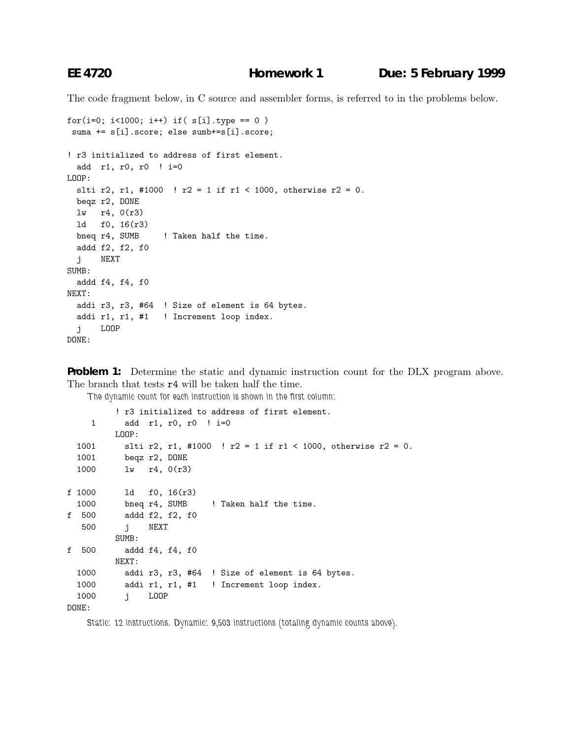The code fragment below, in C source and assembler forms, is referred to in the problems below.

```
for(i=0; i<1000; i++) if( s[i].type == 0)
suma += s[i].score; else sumb+=s[i].score;
! r3 initialized to address of first element.
  add r1, r0, r0 ! i=0
LOOP:
 slti r2, r1, #1000 ! r2 = 1 if r1 < 1000, otherwise r2 = 0.
 beqz r2, DONE
 lw r4, 0(r3)
 ld f0, 16(r3)
 bneq r4, SUMB ! Taken half the time.
 addd f2, f2, f0
  j NEXT
SUMB:
 addd f4, f4, f0
NEXT:
  addi r3, r3, #64 ! Size of element is 64 bytes.
  addi r1, r1, #1 ! Increment loop index.
  j LOOP
DONE:
```
**Problem 1:** Determine the static and dynamic instruction count for the DLX program above. The branch that tests r4 will be taken half the time.

*The dynamic count for each instruction is shown in the first column:*

```
! r3 initialized to address of first element.
    1 add r1, r0, r0 ! i=0
        LOOP:
 1001 slti r2, r1, #1000 ! r2 = 1 if r1 < 1000, otherwise r2 = 0.
 1001 beqz r2, DONE
 1000 lw r4, 0(r3)
f 1000 ld f0, 16(r3)
 1000 bneq r4, SUMB ! Taken half the time.
f 500 addd f2, f2, f0
  500 j NEXT
        SUMB:
f 500 addd f4, f4, f0
        NEXT:
 1000 addi r3, r3, #64 ! Size of element is 64 bytes.
 1000 addi r1, r1, #1 ! Increment loop index.
 1000 j LOOP
DONE:
```
*Static: 12 instructions. Dynamic: 9,503 instructions (totaling dynamic counts above).*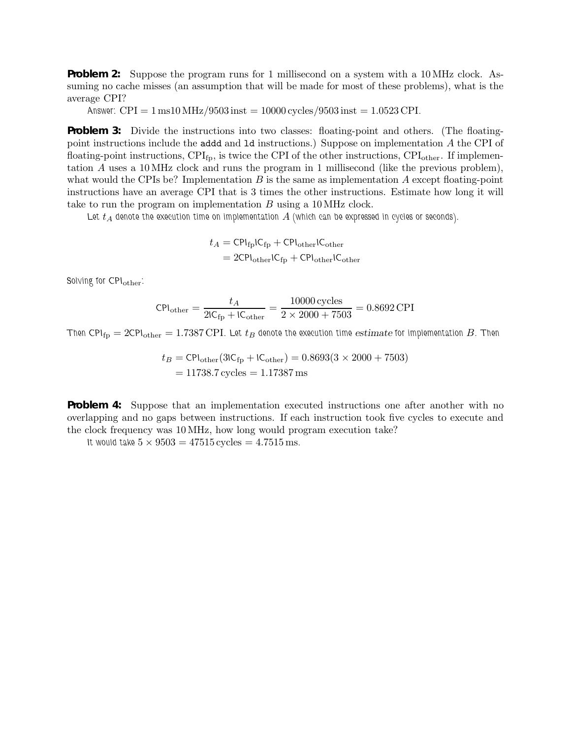**Problem 2:** Suppose the program runs for 1 millisecond on a system with a 10 MHz clock. Assuming no cache misses (an assumption that will be made for most of these problems), what is the average CPI?

*Answer:*  $CPI = 1 \text{ ms}10 \text{ MHz}/9503 \text{ inst} = 10000 \text{ cycles}/9503 \text{ inst} = 1.0523 \text{ CPI}.$ 

**Problem 3:** Divide the instructions into two classes: floating-point and others. (The floatingpoint instructions include the addd and ld instructions.) Suppose on implementation A the CPI of floating-point instructions,  $\text{CPI}_{\text{fp}}$ , is twice the CPI of the other instructions,  $\text{CPI}_{\text{other}}$ . If implementation A uses a 10MHz clock and runs the program in 1 millisecond (like the previous problem), what would the CPIs be? Implementation  $B$  is the same as implementation  $A$  except floating-point instructions have an average CPI that is 3 times the other instructions. Estimate how long it will take to run the program on implementation B using a 10MHz clock.

Let  $t_A$  denote the execution time on implementation  $A$  (which can be expressed in cycles or seconds).

$$
t_A = \text{CPI}_{\text{fp}} \text{IC}_{\text{fp}} + \text{CPI}_{\text{other}} \text{IC}_{\text{other}}
$$

$$
= 2\text{CPI}_{\text{other}} \text{IC}_{\text{fp}} + \text{CPI}_{\text{other}} \text{IC}_{\text{other}}
$$

*Solving for CPI*other*:*

$$
CPI_{\text{other}} = \frac{t_A}{2IC_{\text{fp}} + IC_{\text{other}}} = \frac{10000 \text{ cycles}}{2 \times 2000 + 7503} = 0.8692 \text{ CPI}
$$

*Then CPI*<sub>fp</sub> = 2*CPI*<sub>other</sub> = 1.7387 CPI. Let  $t_B$  denote the execution time *estimate* for implementation B. Then

$$
t_B = \text{CPI}_{\text{other}}(3\text{IC}_{\text{fp}} + \text{IC}_{\text{other}}) = 0.8693(3 \times 2000 + 7503)
$$

$$
= 11738.7 \text{ cycles} = 1.17387 \text{ ms}
$$

**Problem 4:** Suppose that an implementation executed instructions one after another with no overlapping and no gaps between instructions. If each instruction took five cycles to execute and the clock frequency was 10MHz, how long would program execution take?

*It would take*  $5 \times 9503 = 47515$  cycles  $= 4.7515$  ms.